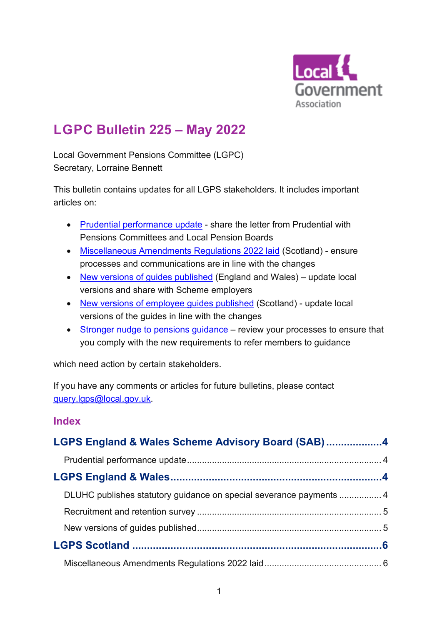

# **LGPC Bulletin 225 – May 2022**

Local Government Pensions Committee (LGPC) Secretary, Lorraine Bennett

This bulletin contains updates for all LGPS stakeholders. It includes important articles on:

- [Prudential performance update](#page-3-0) share the letter from Prudential with Pensions Committees and Local Pension Boards
- [Miscellaneous Amendments Regulations 2022 laid](#page-5-0) (Scotland) ensure processes and communications are in line with the changes
- [New versions of guides published](#page-4-0) (England and Wales) update local versions and share with Scheme employers
- [New versions of employee guides published](#page-6-0) (Scotland) update local versions of the guides in line with the changes
- [Stronger nudge to pensions guidance](#page-9-0) review your processes to ensure that you comply with the new requirements to refer members to guidance

which need action by certain stakeholders.

If you have any comments or articles for future bulletins, please contact [query.lgps@local.gov.uk.](mailto:query.lgps@local.gov.uk)

### **Index**

| LGPS England & Wales Scheme Advisory Board (SAB)4 |  |
|---------------------------------------------------|--|
|                                                   |  |
|                                                   |  |
|                                                   |  |
|                                                   |  |
|                                                   |  |
|                                                   |  |
|                                                   |  |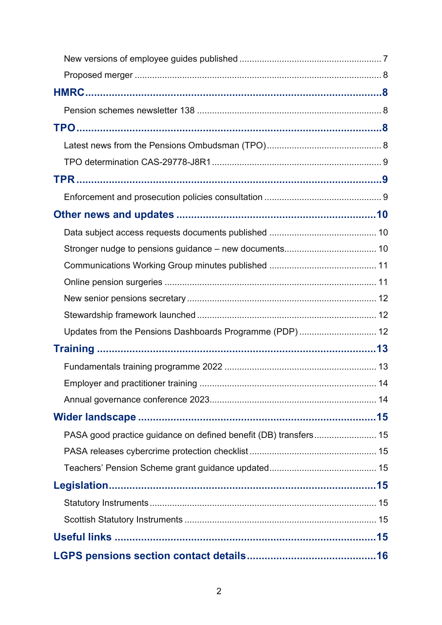| Updates from the Pensions Dashboards Programme (PDP) 12 |  |  |
|---------------------------------------------------------|--|--|
|                                                         |  |  |
|                                                         |  |  |
|                                                         |  |  |
|                                                         |  |  |
|                                                         |  |  |
|                                                         |  |  |
|                                                         |  |  |
|                                                         |  |  |
|                                                         |  |  |
|                                                         |  |  |
|                                                         |  |  |
|                                                         |  |  |
|                                                         |  |  |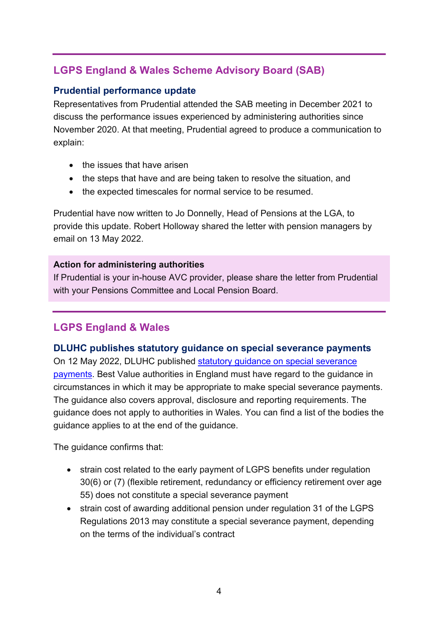# <span id="page-3-1"></span>**LGPS England & Wales Scheme Advisory Board (SAB)**

### <span id="page-3-0"></span>**Prudential performance update**

Representatives from Prudential attended the SAB meeting in December 2021 to discuss the performance issues experienced by administering authorities since November 2020. At that meeting, Prudential agreed to produce a communication to explain:

- the issues that have arisen
- the steps that have and are being taken to resolve the situation, and
- the expected timescales for normal service to be resumed.

Prudential have now written to Jo Donnelly, Head of Pensions at the LGA, to provide this update. Robert Holloway shared the letter with pension managers by email on 13 May 2022.

#### **Action for administering authorities**

If Prudential is your in-house AVC provider, please share the letter from Prudential with your Pensions Committee and Local Pension Board.

# <span id="page-3-2"></span>**LGPS England & Wales**

### <span id="page-3-3"></span>**DLUHC publishes statutory guidance on special severance payments**

On 12 May 2022, DLUHC published [statutory guidance on special severance](https://lgpslibrary.org/assets/cons/lgpsew/20210702_SG.pdf)  [payments.](https://lgpslibrary.org/assets/cons/lgpsew/20210702_SG.pdf) Best Value authorities in England must have regard to the guidance in circumstances in which it may be appropriate to make special severance payments. The guidance also covers approval, disclosure and reporting requirements. The guidance does not apply to authorities in Wales. You can find a list of the bodies the guidance applies to at the end of the guidance.

The guidance confirms that:

- strain cost related to the early payment of LGPS benefits under regulation 30(6) or (7) (flexible retirement, redundancy or efficiency retirement over age 55) does not constitute a special severance payment
- strain cost of awarding additional pension under regulation 31 of the LGPS Regulations 2013 may constitute a special severance payment, depending on the terms of the individual's contract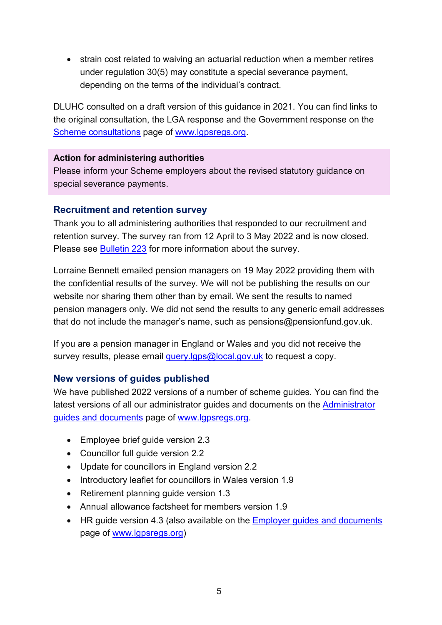• strain cost related to waiving an actuarial reduction when a member retires under regulation 30(5) may constitute a special severance payment, depending on the terms of the individual's contract.

DLUHC consulted on a draft version of this guidance in 2021. You can find links to the original consultation, the LGA response and the Government response on the [Scheme consultations](https://www.lgpsregs.org/schemeregs/consultations.php) page of [www.lgpsregs.org.](http://www.lgpsregs.org/)

#### **Action for administering authorities**

Please inform your Scheme employers about the revised statutory guidance on special severance payments.

### <span id="page-4-1"></span>**Recruitment and retention survey**

Thank you to all administering authorities that responded to our recruitment and retention survey. The survey ran from 12 April to 3 May 2022 and is now closed. Please see [Bulletin 223](https://lgpslibrary.org/assets/bulletins/2022/223.pdf) for more information about the survey.

Lorraine Bennett emailed pension managers on 19 May 2022 providing them with the confidential results of the survey. We will not be publishing the results on our website nor sharing them other than by email. We sent the results to named pension managers only. We did not send the results to any generic email addresses that do not include the manager's name, such as pensions@pensionfund.gov.uk.

If you are a pension manager in England or Wales and you did not receive the survey results, please email [query.lgps@local.gov.uk](mailto:query.lgps@local.gov.uk) to request a copy.

### <span id="page-4-0"></span>**New versions of guides published**

We have published 2022 versions of a number of scheme guides. You can find the latest versions of all our administrator guides and documents on the [Administrator](https://www.lgpsregs.org/resources/guidesetc.php)  [guides and documents](https://www.lgpsregs.org/resources/guidesetc.php) page of [www.lgpsregs.org.](http://www.lgpsregs.org/)

- Employee brief guide version 2.3
- Councillor full guide version 2.2
- Update for councillors in England version 2.2
- Introductory leaflet for councillors in Wales version 1.9
- Retirement planning quide version 1.3
- Annual allowance factsheet for members version 1.9
- HR guide version 4.3 (also available on the [Employer guides and documents](https://www.lgpsregs.org/employer-resources/guidesetc.php) page of [www.lgpsregs.org\)](http://www.lgpsregs.org/)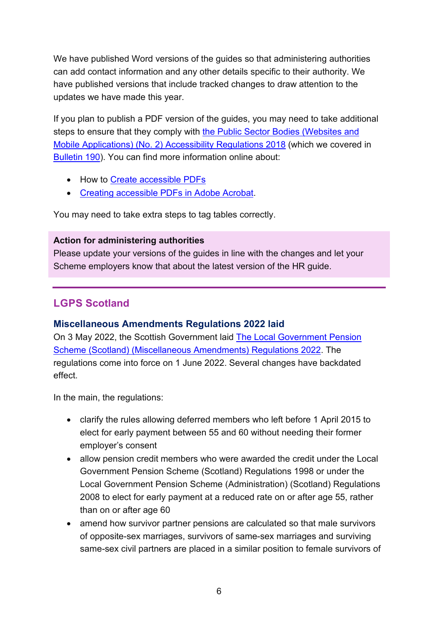We have published Word versions of the guides so that administering authorities can add contact information and any other details specific to their authority. We have published versions that include tracked changes to draw attention to the updates we have made this year.

If you plan to publish a PDF version of the guides, you may need to take additional steps to ensure that they comply with the Public Sector Bodies (Websites and [Mobile Applications\) \(No. 2\) Accessibility Regulations 2018](https://www.legislation.gov.uk/uksi/2018/952/contents/made) (which we covered in [Bulletin 190\)](https://www.lgpslibrary.org/assets/bulletins/2019/190.pdf). You can find more information online about:

- How to [Create accessible PDFs](https://support.microsoft.com/en-gb/office/create-accessible-pdfs-064625e0-56ea-4e16-ad71-3aa33bb4b7ed?ui=en-us&rs=en-gb&ad=gb)
- [Creating accessible PDFs in Adobe Acrobat.](https://helpx.adobe.com/uk/acrobat/using/creating-accessible-pdfs.html)

You may need to take extra steps to tag tables correctly.

### **Action for administering authorities**

Please update your versions of the guides in line with the changes and let your Scheme employers know that about the latest version of the HR guide.

# <span id="page-5-1"></span>**LGPS Scotland**

### <span id="page-5-0"></span>**Miscellaneous Amendments Regulations 2022 laid**

On 3 May 2022, the Scottish Government laid [The Local Government Pension](https://www.legislation.gov.uk/ssi/2022/153/introduction/made)  [Scheme \(Scotland\) \(Miscellaneous Amendments\) Regulations 2022.](https://www.legislation.gov.uk/ssi/2022/153/introduction/made) The regulations come into force on 1 June 2022. Several changes have backdated effect.

In the main, the regulations:

- clarify the rules allowing deferred members who left before 1 April 2015 to elect for early payment between 55 and 60 without needing their former employer's consent
- allow pension credit members who were awarded the credit under the Local Government Pension Scheme (Scotland) Regulations 1998 or under the Local Government Pension Scheme (Administration) (Scotland) Regulations 2008 to elect for early payment at a reduced rate on or after age 55, rather than on or after age 60
- amend how survivor partner pensions are calculated so that male survivors of opposite-sex marriages, survivors of same-sex marriages and surviving same-sex civil partners are placed in a similar position to female survivors of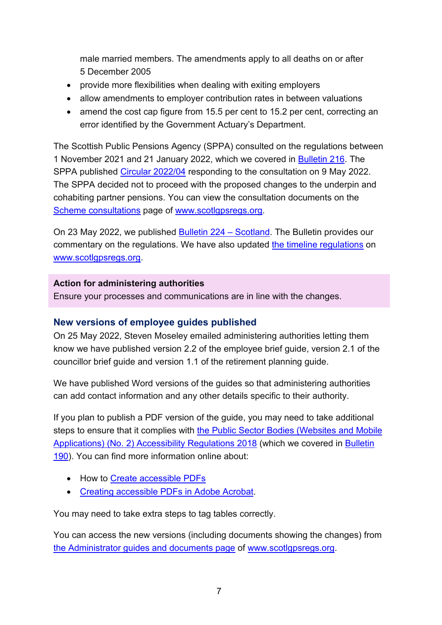male married members. The amendments apply to all deaths on or after 5 December 2005

- provide more flexibilities when dealing with exiting employers
- allow amendments to employer contribution rates in between valuations
- amend the cost cap figure from 15.5 per cent to 15.2 per cent, correcting an error identified by the Government Actuary's Department.

The Scottish Public Pensions Agency (SPPA) consulted on the regulations between 1 November 2021 and 21 January 2022, which we covered in [Bulletin 216.](https://lgpslibrary.org/assets/bulletins/2021/216.pdf) The SPPA published [Circular 2022/04](https://www.lgpslibrary.org/assets/sppacirc/202204.pdf) responding to the consultation on 9 May 2022. The SPPA decided not to proceed with the proposed changes to the underpin and cohabiting partner pensions. You can view the consultation documents on the [Scheme consultations](https://www.scotlgpsregs.org/schemeregs/consultations.php) page of [www.scotlgpsregs.org.](http://www.scotlgpsregs.org/)

On 23 May 2022, we published [Bulletin 224 –](https://lgpslibrary.org/assets/bulletins/2022/224.pdf) Scotland. The Bulletin provides our commentary on the regulations. We have also updated [the timeline regulations](https://www.scotlgpsregs.org/schemeregs/index.php) on www.scotlapsregs.org.

#### **Action for administering authorities**

Ensure your processes and communications are in line with the changes.

#### <span id="page-6-0"></span>**New versions of employee guides published**

On 25 May 2022, Steven Moseley emailed administering authorities letting them know we have published version 2.2 of the employee brief guide, version 2.1 of the councillor brief guide and version 1.1 of the retirement planning guide.

We have published Word versions of the guides so that administering authorities can add contact information and any other details specific to their authority.

If you plan to publish a PDF version of the guide, you may need to take additional steps to ensure that it complies with [the Public Sector Bodies \(Websites and Mobile](https://www.legislation.gov.uk/uksi/2018/952/contents/made)  [Applications\) \(No. 2\) Accessibility Regulations 2018](https://www.legislation.gov.uk/uksi/2018/952/contents/made) (which we covered in [Bulletin](https://www.lgpslibrary.org/assets/bulletins/2019/190.pdf)  [190\)](https://www.lgpslibrary.org/assets/bulletins/2019/190.pdf). You can find more information online about:

- How to [Create accessible PDFs](https://support.microsoft.com/en-gb/office/create-accessible-pdfs-064625e0-56ea-4e16-ad71-3aa33bb4b7ed?ui=en-us&rs=en-gb&ad=gb)
- [Creating accessible PDFs in Adobe Acrobat.](https://helpx.adobe.com/uk/acrobat/using/creating-accessible-pdfs.html)

You may need to take extra steps to tag tables correctly.

You can access the new versions (including documents showing the changes) from [the Administrator guides and documents page](https://www.scotlgpsregs.org/resources/guidesetc.php) of [www.scotlgpsregs.org.](http://www.scotlgpsregs.org/)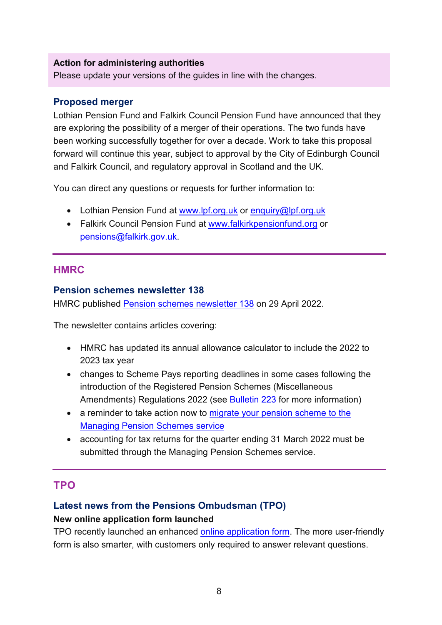#### **Action for administering authorities**

Please update your versions of the guides in line with the changes.

#### <span id="page-7-0"></span>**Proposed merger**

Lothian Pension Fund and Falkirk Council Pension Fund have announced that they are exploring the possibility of a merger of their operations. The two funds have been working successfully together for over a decade. Work to take this proposal forward will continue this year, subject to approval by the City of Edinburgh Council and Falkirk Council, and regulatory approval in Scotland and the UK.

You can direct any questions or requests for further information to:

- Lothian Pension Fund at [www.lpf.org.uk](http://www.lpf.org.uk/) or [enquiry@lpf.org.uk](mailto:enquiry@lpf.org.uk)
- Falkirk Council Pension Fund at [www.falkirkpensionfund.org](http://www.falkirkpensionfund.org/) or [pensions@falkirk.gov.uk.](mailto:pensions@falkirk.gov.uk)

### <span id="page-7-1"></span>**HMRC**

#### <span id="page-7-2"></span>**Pension schemes newsletter 138**

HMRC published [Pension schemes newsletter 138](https://www.gov.uk/government/publications/pension-schemes-newsletter-138-april-2022) on 29 April 2022.

The newsletter contains articles covering:

- HMRC has updated its annual allowance calculator to include the 2022 to 2023 tax year
- changes to Scheme Pays reporting deadlines in some cases following the introduction of the Registered Pension Schemes (Miscellaneous Amendments) Regulations 2022 (see **Bulletin 223** for more information)
- a reminder to take action now to migrate your pension scheme to the [Managing Pension Schemes service](https://www.gov.uk/guidance/migrating-your-pension-scheme-to-the-managing-pension-schemes-service)
- accounting for tax returns for the quarter ending 31 March 2022 must be submitted through the Managing Pension Schemes service.

### <span id="page-7-3"></span>**TPO**

### <span id="page-7-4"></span>**Latest news from the Pensions Ombudsman (TPO)**

#### **New online application form launched**

TPO recently launched an enhanced [online application form.](https://www.pensions-ombudsman.org.uk/submit-complaint) The more user-friendly form is also smarter, with customers only required to answer relevant questions.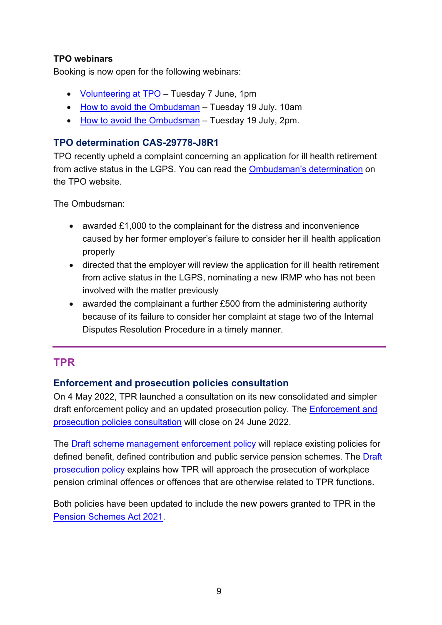### **TPO webinars**

Booking is now open for the following webinars:

- [Volunteering at TPO](https://us02web.zoom.us/meeting/register/tZcvdu-hrz8jGNOwtn2L1pJT-GmJqvRMrT-2) Tuesday 7 June, 1pm
- [How to avoid the Ombudsman](https://us02web.zoom.us/meeting/register/tZIlfu-uqTovG9WHa-n184icYmlm457pUaRP) Tuesday 19 July, 10am
- [How to avoid the Ombudsman](https://us02web.zoom.us/meeting/register/tZYod-ysqTwoH9dTqqwlmlgqcJi9ySPP17hy) Tuesday 19 July, 2pm.

### <span id="page-8-0"></span>**TPO determination CAS-29778-J8R1**

TPO recently upheld a complaint concerning an application for ill health retirement from active status in the LGPS. You can read the [Ombudsman's determination](https://www.pensions-ombudsman.org.uk/decision/2022/cas-29778-j8r1/local-government-pension-scheme-lgps-london-borough-waltham-forest) on the TPO website.

The Ombudsman:

- awarded £1,000 to the complainant for the distress and inconvenience caused by her former employer's failure to consider her ill health application properly
- directed that the employer will review the application for ill health retirement from active status in the LGPS, nominating a new IRMP who has not been involved with the matter previously
- awarded the complainant a further £500 from the administering authority because of its failure to consider her complaint at stage two of the Internal Disputes Resolution Procedure in a timely manner.

### <span id="page-8-1"></span>**TPR**

#### <span id="page-8-2"></span>**Enforcement and prosecution policies consultation**

On 4 May 2022, TPR launched a consultation on its new consolidated and simpler draft enforcement policy and an updated prosecution policy. The [Enforcement and](https://www.thepensionsregulator.gov.uk/en/document-library/consultations/enforcement-and-prosecution-policies-consultation)  [prosecution policies consultation](https://www.thepensionsregulator.gov.uk/en/document-library/consultations/enforcement-and-prosecution-policies-consultation) will close on 24 June 2022.

The [Draft scheme management enforcement policy](https://www.thepensionsregulator.gov.uk/en/document-library/draft-regulatory-and-enforcement-policies/draft-scheme-management-enforcement-policy) will replace existing policies for defined benefit, defined contribution and public service pension schemes. The [Draft](https://www.thepensionsregulator.gov.uk/en/document-library/draft-regulatory-and-enforcement-policies/draft-prosecution-policy)  [prosecution policy](https://www.thepensionsregulator.gov.uk/en/document-library/draft-regulatory-and-enforcement-policies/draft-prosecution-policy) explains how TPR will approach the prosecution of workplace pension criminal offences or offences that are otherwise related to TPR functions.

Both policies have been updated to include the new powers granted to TPR in the [Pension Schemes Act 2021.](https://www.legislation.gov.uk/ukpga/2021/1/contents)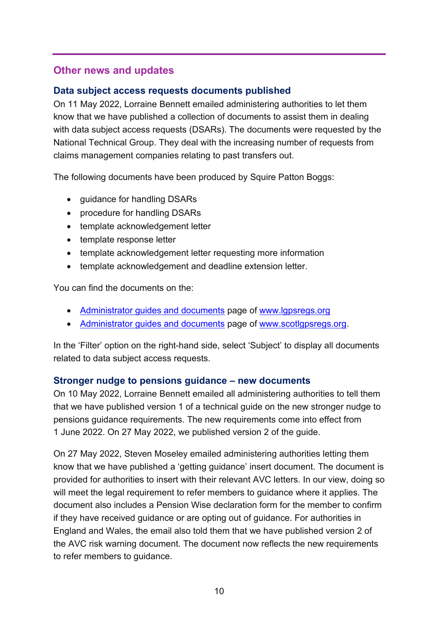### <span id="page-9-1"></span>**Other news and updates**

#### <span id="page-9-2"></span>**Data subject access requests documents published**

On 11 May 2022, Lorraine Bennett emailed administering authorities to let them know that we have published a collection of documents to assist them in dealing with data subject access requests (DSARs). The documents were requested by the National Technical Group. They deal with the increasing number of requests from claims management companies relating to past transfers out.

The following documents have been produced by Squire Patton Boggs:

- guidance for handling DSARs
- procedure for handling DSARs
- template acknowledgement letter
- template response letter
- template acknowledgement letter requesting more information
- template acknowledgement and deadline extension letter.

You can find the documents on the:

- [Administrator guides and documents](https://www.lgpsregs.org/resources/guidesetc.php) page of [www.lgpsregs.org](http://www.lgpsregs.org/)
- [Administrator guides and documents](https://www.scotlgpsregs.org/resources/guidesetc.php) page of [www.scotlgpsregs.org.](http://www.scotlgpsregs.org/)

In the 'Filter' option on the right-hand side, select 'Subject' to display all documents related to data subject access requests.

#### <span id="page-9-0"></span>**Stronger nudge to pensions guidance – new documents**

On 10 May 2022, Lorraine Bennett emailed all administering authorities to tell them that we have published version 1 of a technical guide on the new stronger nudge to pensions guidance requirements. The new requirements come into effect from 1 June 2022. On 27 May 2022, we published version 2 of the guide.

On 27 May 2022, Steven Moseley emailed administering authorities letting them know that we have published a 'getting guidance' insert document. The document is provided for authorities to insert with their relevant AVC letters. In our view, doing so will meet the legal requirement to refer members to quidance where it applies. The document also includes a Pension Wise declaration form for the member to confirm if they have received guidance or are opting out of guidance. For authorities in England and Wales, the email also told them that we have published version 2 of the AVC risk warning document. The document now reflects the new requirements to refer members to guidance.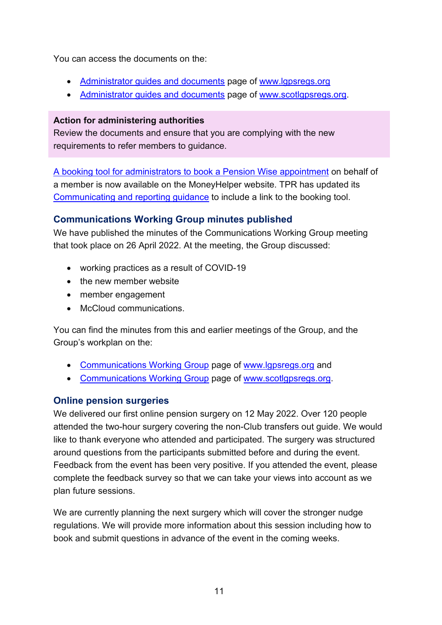You can access the documents on the:

- [Administrator guides and documents](https://www.lgpsregs.org/resources/guidesetc.php) page of [www.lgpsregs.org](http://www.lgpsregs.org/)
- [Administrator guides and](https://www.scotlgpsregs.org/resources/guidesetc.php) documents page of [www.scotlgpsregs.org.](http://www.scotlgpsregs.org/)

### **Action for administering authorities**

Review the documents and ensure that you are complying with the new requirements to refer members to guidance.

[A booking tool for administrators to book a](https://www.moneyhelper.org.uk/en/pensions-and-retirement/pension-wise/pension-wise-providers) Pension Wise appointment on behalf of a member is now available on the MoneyHelper website. TPR has updated its [Communicating and reporting guidance](https://www.thepensionsregulator.gov.uk/en/document-library/scheme-management-detailed-guidance/communications-and-reporting-detailed-guidance/6-communicating-and-reporting) to include a link to the booking tool.

### <span id="page-10-0"></span>**Communications Working Group minutes published**

We have published the minutes of the Communications Working Group meeting that took place on 26 April 2022. At the meeting, the Group discussed:

- working practices as a result of COVID-19
- the new member website
- member engagement
- McCloud communications.

You can find the minutes from this and earlier meetings of the Group, and the Group's workplan on the:

- [Communications Working Group](https://www.lgpsregs.org/bulletinsetc/cwgminutes.php) page of [www.lgpsregs.org](http://www.lgpsregs.org/) and
- [Communications Working Group](https://www.scotlgpsregs.org/bulletinsetc/cwgminutes.php) page of [www.scotlgpsregs.org.](http://www.scotlgpsregs.org/)

### <span id="page-10-1"></span>**Online pension surgeries**

We delivered our first online pension surgery on 12 May 2022. Over 120 people attended the two-hour surgery covering the non-Club transfers out guide. We would like to thank everyone who attended and participated. The surgery was structured around questions from the participants submitted before and during the event. Feedback from the event has been very positive. If you attended the event, please complete the feedback survey so that we can take your views into account as we plan future sessions.

We are currently planning the next surgery which will cover the stronger nudge regulations. We will provide more information about this session including how to book and submit questions in advance of the event in the coming weeks.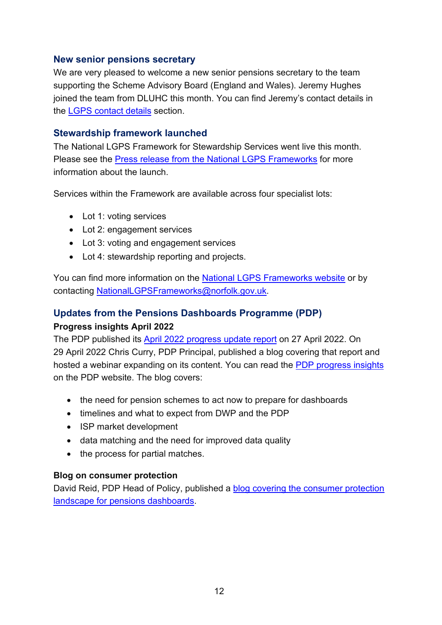### <span id="page-11-0"></span>**New senior pensions secretary**

We are very pleased to welcome a new senior pensions secretary to the team supporting the Scheme Advisory Board (England and Wales). Jeremy Hughes joined the team from DLUHC this month. You can find Jeremy's contact details in the [LGPS contact details](#page-15-0) section.

### <span id="page-11-1"></span>**Stewardship framework launched**

The National LGPS Framework for Stewardship Services went live this month. Please see the [Press release from the National LGPS Frameworks](https://lgpslibrary.org/assets/bulletins/2022/225AppA.pdf) for more information about the launch.

Services within the Framework are available across four specialist lots:

- Lot 1: voting services
- Lot 2: engagement services
- Lot 3: voting and engagement services
- Lot 4: stewardship reporting and projects.

You can find more information on the [National LGPS Frameworks website](https://www.nationallgpsframeworks.org/stewardship-services-0) or by contacting [NationalLGPSFrameworks@norfolk.gov.uk.](mailto:NationalLGPSFrameworks@norfolk.gov.uk)

### <span id="page-11-2"></span>**Updates from the Pensions Dashboards Programme (PDP) Progress insights April 2022**

The PDP published its [April 2022 progress update report](https://www.pensionsdashboardsprogramme.org.uk/2022/04/27/april-2022-progress-update-report/) on 27 April 2022. On 29 April 2022 Chris Curry, PDP Principal, published a blog covering that report and hosted a webinar expanding on its content. You can read the [PDP progress insights](https://www.pensionsdashboardsprogramme.org.uk/2022/04/29/pensions-dashboards-progress-insights-april-2022/) on the PDP website. The blog covers:

- the need for pension schemes to act now to prepare for dashboards
- timelines and what to expect from DWP and the PDP
- ISP market development
- data matching and the need for improved data quality
- the process for partial matches.

#### **Blog on consumer protection**

David Reid, PDP Head of Policy, published a [blog covering the consumer protection](https://www.pensionsdashboardsprogramme.org.uk/2022/05/11/consumer-protection-for-pensions-dashboards/)  [landscape for pensions dashboards.](https://www.pensionsdashboardsprogramme.org.uk/2022/05/11/consumer-protection-for-pensions-dashboards/)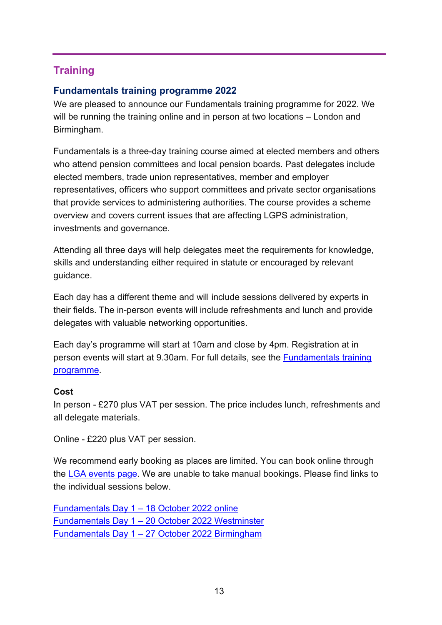# <span id="page-12-0"></span>**Training**

### <span id="page-12-1"></span>**Fundamentals training programme 2022**

We are pleased to announce our Fundamentals training programme for 2022. We will be running the training online and in person at two locations – London and Birmingham.

Fundamentals is a three-day training course aimed at elected members and others who attend pension committees and local pension boards. Past delegates include elected members, trade union representatives, member and employer representatives, officers who support committees and private sector organisations that provide services to administering authorities. The course provides a scheme overview and covers current issues that are affecting LGPS administration, investments and governance.

Attending all three days will help delegates meet the requirements for knowledge, skills and understanding either required in statute or encouraged by relevant guidance.

Each day has a different theme and will include sessions delivered by experts in their fields. The in-person events will include refreshments and lunch and provide delegates with valuable networking opportunities.

Each day's programme will start at 10am and close by 4pm. Registration at in person events will start at 9.30am. For full details, see the [Fundamentals training](https://lgpslibrary.org/assets/Training%20Course%20Details/Fundamentals%20programme%202022.pdf)  [programme.](https://lgpslibrary.org/assets/Training%20Course%20Details/Fundamentals%20programme%202022.pdf)

#### **Cost**

In person - £270 plus VAT per session. The price includes lunch, refreshments and all delegate materials.

Online - £220 plus VAT per session.

We recommend early booking as places are limited. You can book online through the [LGA events page.](https://www.local.gov.uk/events) We are unable to take manual bookings. Please find links to the individual sessions below.

Fundamentals Day 1 – [18 October 2022 online](https://lgaevents.local.gov.uk/lga/frontend/reg/thome.csp?pageID=528031&eventID=1528&CSPCHD=001001000000wNZJzuFf4CzkW_LBLreUxJntk9rUIGNv8gJl0h) Fundamentals Day 1 – [20 October 2022 Westminster](https://lgaevents.local.gov.uk/lga/frontend/reg/thome.csp?pageID=525985&eventID=1522) Fundamentals Day 1 – [27 October 2022 Birmingham](https://lgaevents.local.gov.uk/lga/frontend/reg/thome.csp?pageID=526326&eventID=1523)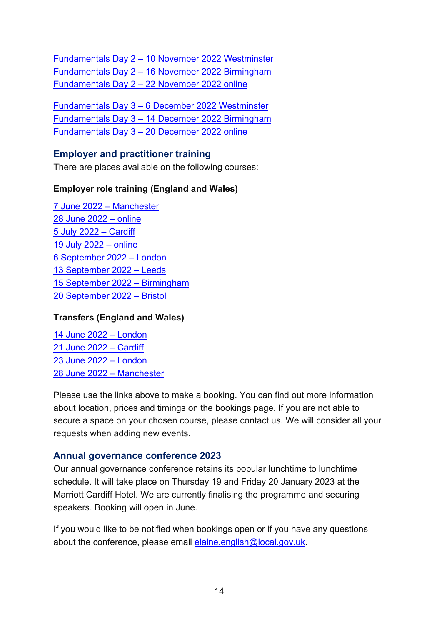Fundamentals Day 2 – [10 November 2022 Westminster](https://lgaevents.local.gov.uk/lga/frontend/reg/thome.csp?pageID=527008&eventID=1525) Fundamentals Day 2 – [16 November 2022 Birmingham](https://lgaevents.local.gov.uk/lga/frontend/reg/thome.csp?pageID=526667&eventID=1524) Fundamentals Day 2 – [22 November 2022 online](https://lgaevents.local.gov.uk/lga/frontend/reg/thome.csp?pageID=528372&eventID=1529)

Fundamentals Day 3 – [6 December 2022 Westminster](https://lgaevents.local.gov.uk/lga/frontend/reg/thome.csp?pageID=527349&eventID=1526) Fundamentals Day 3 – [14 December 2022 Birmingham](https://lgaevents.local.gov.uk/lga/frontend/reg/thome.csp?pageID=527690&eventID=1527) Fundamentals Day 3 – [20 December 2022 online](https://lgaevents.local.gov.uk/lga/frontend/reg/thome.csp?pageID=528713&eventID=1530)

### <span id="page-13-0"></span>**Employer and practitioner training**

There are places available on the following courses:

### **Employer role training (England and Wales)**

[7 June 2022 –](https://lgaevents.local.gov.uk/lga/frontend/reg/thome.csp?pageID=505613&eventID=1466) Manchester [28 June 2022 –](https://lgaevents.local.gov.uk/lga/frontend/reg/thome.csp?pageID=506636&eventID=1469) online [5 July 2022 –](https://lgaevents.local.gov.uk/lga/frontend/reg/thome.csp?pageID=508341&eventID=1474) Cardiff [19 July 2022 –](https://lgaevents.local.gov.uk/lga/frontend/reg/thome.csp?pageID=505954&eventID=1467) online [6 September 2022 –](https://lgaevents.local.gov.uk/lga/frontend/reg/thome.csp?pageID=506977&eventID=1470) London [13 September 2022 –](https://lgaevents.local.gov.uk/lga/frontend/reg/thome.csp?pageID=507318&eventID=1471) Leeds [15 September 2022 –](https://lgaevents.local.gov.uk/lga/frontend/reg/thome.csp?pageID=507659&eventID=1472) Birmingham [20 September 2022 –](https://lgaevents.local.gov.uk/lga/frontend/reg/thome.csp?pageID=508000&eventID=1473) Bristol

#### **Transfers (England and Wales)**

[14 June 2022 –](https://lgaevents.local.gov.uk/lga/frontend/reg/thome.csp?pageID=503226&eventID=1459) London [21 June 2022 –](https://lgaevents.local.gov.uk/lga/frontend/reg/thome.csp?pageID=502544&eventID=1457) Cardiff [23 June 2022 –](https://lgaevents.local.gov.uk/lga/frontend/reg/thome.csp?pageID=503567&eventID=1460) London [28 June 2022 –](https://lgaevents.local.gov.uk/lga/frontend/reg/thome.csp?pageID=502885&eventID=1458) Manchester

Please use the links above to make a booking. You can find out more information about location, prices and timings on the bookings page. If you are not able to secure a space on your chosen course, please contact us. We will consider all your requests when adding new events.

### <span id="page-13-1"></span>**Annual governance conference 2023**

Our annual governance conference retains its popular lunchtime to lunchtime schedule. It will take place on Thursday 19 and Friday 20 January 2023 at the Marriott Cardiff Hotel. We are currently finalising the programme and securing speakers. Booking will open in June.

If you would like to be notified when bookings open or if you have any questions about the conference, please email [elaine.english@local.gov.uk.](mailto:elaine.english@local.gov.uk)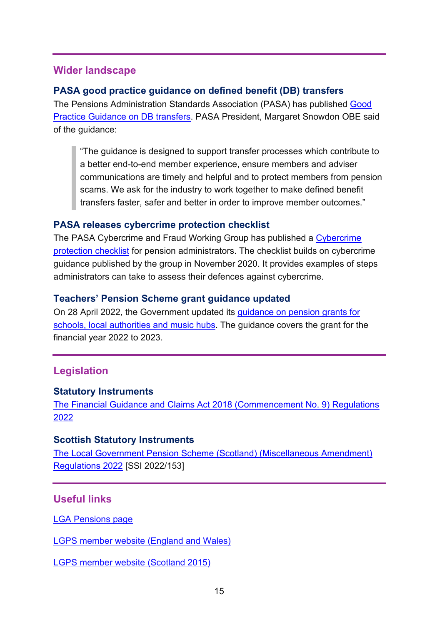### <span id="page-14-0"></span>**Wider landscape**

### <span id="page-14-1"></span>**PASA good practice guidance on defined benefit (DB) transfers**

The Pensions Administration Standards Association (PASA) has published [Good](https://www.pasa-uk.com/press-release-pasa-releases-good-practice-guidance-on-db-transfers/)  [Practice Guidance on DB transfers.](https://www.pasa-uk.com/press-release-pasa-releases-good-practice-guidance-on-db-transfers/) PASA President, Margaret Snowdon OBE said of the guidance:

"The guidance is designed to support transfer processes which contribute to a better end-to-end member experience, ensure members and adviser communications are timely and helpful and to protect members from pension scams. We ask for the industry to work together to make defined benefit transfers faster, safer and better in order to improve member outcomes."

### <span id="page-14-2"></span>**PASA releases cybercrime protection checklist**

The PASA Cybercrime and Fraud Working Group has published a [Cybercrime](https://www.pasa-uk.com/press-release-pasa-releases-cybercrime-protection-checklist/)  [protection checklist](https://www.pasa-uk.com/press-release-pasa-releases-cybercrime-protection-checklist/) for pension administrators. The checklist builds on cybercrime guidance published by the group in November 2020. It provides examples of steps administrators can take to assess their defences against cybercrime.

### <span id="page-14-3"></span>**Teachers' Pension Scheme grant guidance updated**

On 28 April 2022, the Government updated its [guidance on pension grants for](https://www.gov.uk/government/publications/teachers-pension-employer-contribution-grant-tpecg)  [schools, local authorities and music hubs.](https://www.gov.uk/government/publications/teachers-pension-employer-contribution-grant-tpecg) The guidance covers the grant for the financial year 2022 to 2023.

# <span id="page-14-4"></span>**Legislation**

#### <span id="page-14-5"></span>**Statutory Instruments**

[The Financial Guidance and Claims Act 2018 \(Commencement No. 9\) Regulations](https://www.legislation.gov.uk/uksi/2022/509/contents/made)  [2022](https://www.legislation.gov.uk/uksi/2022/509/contents/made)

### <span id="page-14-6"></span>**Scottish Statutory Instruments**

[The Local Government Pension Scheme \(Scotland\) \(Miscellaneous Amendment\)](https://www.legislation.gov.uk/ssi/2022/153/introduction/made)  [Regulations 2022](https://www.legislation.gov.uk/ssi/2022/153/introduction/made) [SSI 2022/153]

### <span id="page-14-7"></span>**Useful links**

[LGA Pensions page](https://local.gov.uk/our-support/workforce-and-hr-support/local-government-pensions)

[LGPS member website \(England and Wales\)](https://www.lgpsmember.org/)

[LGPS member website \(Scotland 2015\)](http://www.scotlgps2015.org/)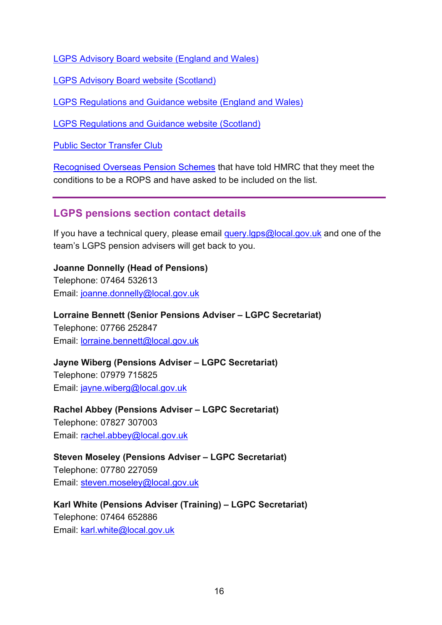[LGPS Advisory Board website \(England and Wales\)](http://www.lgpsboard.org/)

[LGPS Advisory Board website \(Scotland\)](http://lgpsab.scot/)

[LGPS Regulations and Guidance website \(England and Wales\)](http://www.lgpsregs.org/)

[LGPS Regulations and Guidance website \(Scotland\)](http://www.scotlgpsregs.org/)

[Public Sector Transfer Club](http://www.civilservicepensionscheme.org.uk/members/public-sector-transfer-club/)

[Recognised Overseas Pension Schemes](http://www.hmrc.gov.uk/pensionschemes/qrops-list.htm) that have told HMRC that they meet the conditions to be a ROPS and have asked to be included on the list.

### <span id="page-15-0"></span>**LGPS pensions section contact details**

If you have a technical query, please email [query.lgps@local.gov.uk](mailto:query.lgps@local.gov.uk) and one of the team's LGPS pension advisers will get back to you.

**Joanne Donnelly (Head of Pensions)** Telephone: 07464 532613 Email: [joanne.donnelly@local.gov.uk](mailto:joanne.donnelly@local.gov.uk)

**Lorraine Bennett (Senior Pensions Adviser – LGPC Secretariat)** Telephone: 07766 252847 Email: [lorraine.bennett@local.gov.uk](mailto:lorraine.bennett@local.gov.uk)

**Jayne Wiberg (Pensions Adviser – LGPC Secretariat)** Telephone: 07979 715825 Email: [jayne.wiberg@local.gov.uk](mailto:jayne.wiberg@local.gov.uk)

**Rachel Abbey (Pensions Adviser – LGPC Secretariat)** Telephone: 07827 307003 Email: [rachel.abbey@local.gov.uk](mailto:rachel.abbey@local.gov.uk)

**Steven Moseley (Pensions Adviser – LGPC Secretariat)** Telephone: 07780 227059 Email: [steven.moseley@local.gov.uk](mailto:steven.moseley@local.gov.uk)

**Karl White (Pensions Adviser (Training) – LGPC Secretariat)** Telephone: 07464 652886 Email: [karl.white@local.gov.uk](mailto:karl.white@local.gov.uk)